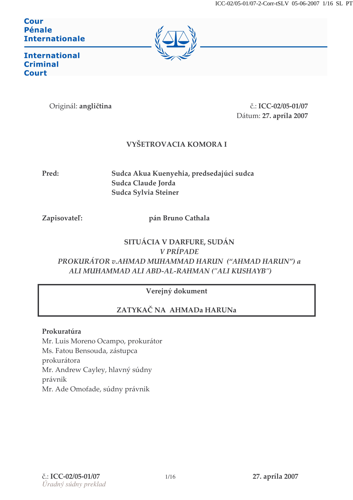Cour **Pénale Internationale** 



**International Criminal Court** 

Originál: angličtina

č.: ICC-02/05-01/07 Dátum: 27. apríla 2007

# VYŠETROVACIA KOMORA I

Pred:

Sudca Akua Kuenyehia, predsedajúci sudca **Sudca Claude Jorda** Sudca Sylvia Steiner

Zapisovateľ:

pán Bruno Cathala

# SITUÁCIA V DARFURE, SUDÁN

### V PRÍPADE

PROKURÁTOR v.AHMAD MUHAMMAD HARUN ("AHMAD HARUN") a ALI MUHAMMAD ALI ABD-AL-RAHMAN ("ALI KUSHAYB")

# Verejný dokument

# ZATYKAČ NA AHMADa HARUNa

Prokuratúra

Mr. Luis Moreno Ocampo, prokurátor Ms. Fatou Bensouda, zástupca prokurátora Mr. Andrew Cayley, hlavný súdny právnik Mr. Ade Omofade, súdny právnik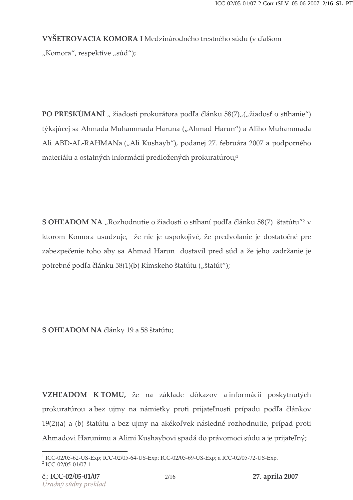VYŠETROVACIA KOMORA I Medzinárodného trestného súdu (v ďalšon

"Komora", respektíve "súd");

PO PRESKÚMANÍ "žiadosti prokurátora podľa článku 58(7)"("žiadosť o stíhanie") týkajúcej sa Ahmada Muhammada Haruna ("Ahmad Harun") a Aliho Muhammada Ali ABD-AL-RAHMANa ("Ali Kushayb"), podanej 27. februára 2007 a podporného materiálu a ostatných informácií predložených prokuratúrou;<del>'</del>

**S OHĽADOM NA** "Rozhodnutie o žiadosti o stíhaní podľa článku 58(7) štatútu"<sup>2</sup> v ktorom Komora usudzuje, že nie je uspokojivé, že predvolanie je dostatočné pre zabezpečenie toho aby sa Ahmad Harun dostavil pred súd a že jeho zadržanie je potrebné podľa článku 58(1)(b) Rímskeho štatútu ("štatút");

**S OHĽADOM NA** články 19 a 58 štatútu;

VZHĽADOM KTOMU, že na základe dôkazov a informácií poskytnutých prokuratúrou a bez ujmy na námietky proti prijateľnosti prípadu podľa článkov 19(2)(a) a (b) štatútu a bez ujmy na akékoľvek následné rozhodnutie, prípad proti Ahmadovi Harunimu a Alimi Kushaybovi spadá do právomoci súdu a je prijateľný;

<sup>1</sup> ICC-02/05-62-US-Exp; ICC-02/05-64-US-Exp; ICC-02/05-69-US-Exp; a ICC-02/05-72-US-Exp. 2 ICC-02/05-01/07-1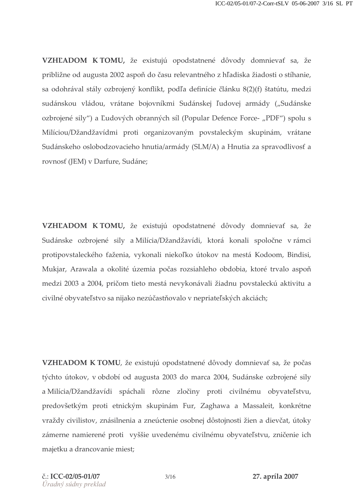VZHĽADOM KTOMU, že existujú opodstatnené dôvody domnievať sa, že približne od augusta 2002 aspoň do času relevantného z hľadiska žiadosti o stíhanie, sa odohrával stály ozbrojený konflikt, podľa definície článku 8(2)(f) štatútu, medzi sudánskou vládou, vrátane bojovníkmi Sudánskej ľudovej armády ("Sudánske ozbrojené sily") a Ľudových obranných síl (Popular Defence Force- "PDF") spolu s Milíciou/Džandžavídmi proti organizovaným povstaleckým skupinám, vrátane Sudánskeho oslobodzovacieho hnutia/armády (SLM/A) a Hnutia za spravodlivosť a rovnosť (JEM) v Darfure, Sudáne;

VZHĽADOM KTOMU, že existujú opodstatnené dôvody domnievať sa, že Sudánske ozbrojené sily a Milícia/Džandžavídi, ktorá konali spoločne v rámci protipovstaleckého ťaženia, vykonali niekoľko útokov na mestá Kodoom, Bindisi, Mukjar, Arawala a okolité územia počas rozsiahleho obdobia, ktoré trvalo aspoň medzi 2003 a 2004, pričom tieto mestá nevykonávali žiadnu povstaleckú aktivitu a civilné obyvateľstvo sa nijako nezúčastňovalo v nepriateľských akciách;

VZHĽADOM K TOMU, že existujú opodstatnené dôvody domnievať sa, že počas týchto útokov, v období od augusta 2003 do marca 2004, Sudánske ozbrojené sily a Milícia/Džandžavídi spáchali rôzne zločiny proti civilnému obyvateľstvu, predovšetkým proti etnickým skupinám Fur, Zaghawa a Massaleit, konkrétne vraždy civilistov, znásilnenia a zneúctenie osobnej dôstojnosti žien a dievčat, útoky zámerne namierené proti vyššie uvedenému civilnému obyvateľstvu, zničenie ich majetku a drancovanie miest;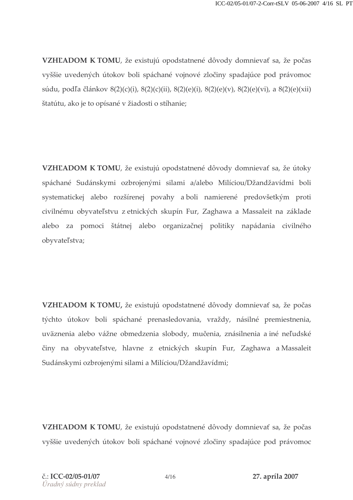VZHĽADOM K TOMU, že existujú opodstatnené dôvody domnievať sa, že počas vyššie uvedených útokov boli spáchané vojnové zločiny spadajúce pod právomoc súdu, podľa článkov 8(2)(c)(i), 8(2)(c)(ii), 8(2)(e)(i), 8(2)(e)(v), 8(2)(e)(vi), a 8(2)(e)(xii) štatútu, ako je to opísané v žiadosti o stíhanie;

VZHĽADOM K TOMU, že existujú opodstatnené dôvody domnievať sa, že útoky spáchané Sudánskymi ozbrojenými silami a/alebo Milíciou/Džandžavídmi boli systematickej alebo rozšírenej povahy a boli namierené predovšetkým proti civilnému obyvateľstvu z etnických skupín Fur, Zaghawa a Massaleit na základe alebo za pomoci štátnej alebo organizačnej politiky napádania civilného obyvateľstva;

VZHĽADOM K TOMU, že existujú opodstatnené dôvody domnievať sa, že počas týchto útokov boli spáchané prenasledovania, vraždy, násilné premiestnenia, uväznenia alebo vážne obmedzenia slobody, mučenia, znásilnenia a iné neľudské činy na obyvateľstve, hlavne z etnických skupín Fur, Zaghawa a Massaleit Sudánskymi ozbrojenými silami a Milíciou/Džandžavídmi;

VZHĽADOM K TOMU, že existujú opodstatnené dôvody domnievať sa, že počas vyššie uvedených útokov boli spáchané vojnové zločiny spadajúce pod právomoc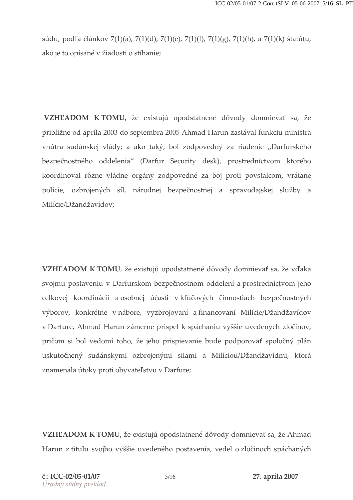súdu, podľa článkov 7(1)(a), 7(1)(d), 7(1)(e), 7(1)(f), 7(1)(g), 7(1)(h), a 7(1)(k) štatútu, ako je to opísané v žiadosti o stíhanie;

VZHĽADOM KTOMU, že existujú opodstatnené dôvody domnievať sa, že približne od apríla 2003 do septembra 2005 Ahmad Harun zastával funkciu ministra vnútra sudánskej vlády; a ako taký, bol zodpovedný za riadenie "Darfurského bezpečnostného oddelenia" (Darfur Security desk), prostredníctvom ktorého koordinoval rôzne vládne orgány zodpovedné za boj proti povstalcom, vrátane polície, ozbrojených síl, národnej bezpečnostnej a spravodajskej služby a Milície/Džandžavídov;

VZHĽADOM K TOMU, že existujú opodstatnené dôvody domnievať sa, že vďaka svojmu postaveniu v Darfurskom bezpečnostnom oddelení a prostredníctvom jeho celkovej koordinácii a osobnej účasti v kľúčových činnostiach bezpečnostných výborov, konkrétne v nábore, vyzbrojovaní a financovaní Milície/Džandžavídov v Darfure, Ahmad Harun zámerne prispel k spáchaniu vyššie uvedených zločinov, pričom si bol vedomí toho, že jeho prispievanie bude podporovať spoločný plán uskutočnený sudánskymi ozbrojenými silami a Milíciou/Džandžavídmi, ktorá znamenala útoky proti obyvateľstvu v Darfure;

VZHĽADOM K TOMU, že existujú opodstatnené dôvody domnievať sa, že Ahmad Harun z titulu svojho vyššie uvedeného postavenia, vedel o zločinoch spáchaných

 $5/16$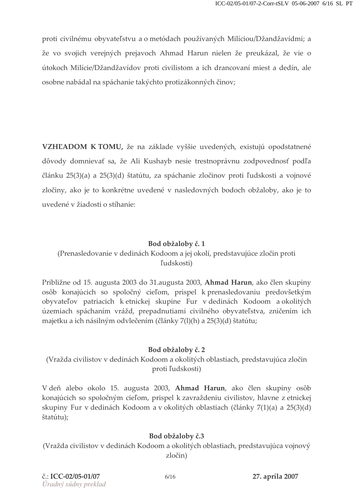proti civilnému obyvateľstvu a o metódach používaných Milíciou/Džandžavídmi; a že vo svojich verejných prejavoch Ahmad Harun nielen že preukázal, že vie o útokoch Milície/Džandžavídov proti civilistom a ich drancovaní miest a dedín, ale osobne nabádal na spáchanie takýchto protizákonných činov;

VZHĽADOM KTOMU, že na základe vyššie uvedených, existujú opodstatnené dôvody domnievať sa, že Ali Kushayb nesie trestnoprávnu zodpovednosť podľa článku 25(3)(a) a 25(3)(d) štatútu, za spáchanie zločinov proti ľudskosti a vojnové zločiny, ako je to konkrétne uvedené v nasledovných bodoch obžaloby, ako je to uvedené v žiadosti o stíhanie:

#### Bod obžaloby č. 1

## (Prenasledovanie v dedinách Kodoom a jej okolí, predstavujúce zločin proti ľudskosti)

Približne od 15. augusta 2003 do 31. augusta 2003, Ahmad Harun, ako člen skupiny osôb konajúcich so spoločný cieľom, prispel k prenasledovaniu predovšetkým obyvateľov patriacich k etnickej skupine Fur v dedinách Kodoom a okolitých územiach spáchaním vrážd, prepadnutiami civilného obyvateľstva, zničením ich majetku a ich násilným odvlečením (články 7(l)(h) a 25(3)(d) štatútu;

#### Bod obžaloby č. 2

(Vražda civilistov v dedinách Kodoom a okolitých oblastiach, predstavujúca zločin proti ľudskosti)

V deň alebo okolo 15. augusta 2003, Ahmad Harun, ako člen skupiny osôb konajúcich so spoločným cieľom, prispel k zavraždeniu civilistov, hlavne z etnickej skupiny Fur v dedinách Kodoom a v okolitých oblastiach (články 7(1)(a) a 25(3)(d) štatútu);

#### Bod obžaloby č.3

(Vražda civilistov v dedinách Kodoom a okolitých oblastiach, predstavujúca vojnový zločin)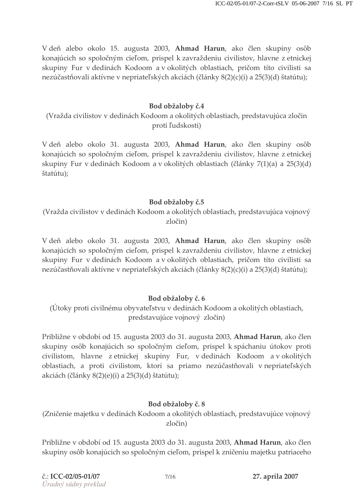V deň alebo okolo 15. augusta 2003, Ahmad Harun, ako člen skupiny osôb konajúcich so spoločným cieľom, prispel k zavraždeniu civilistov, hlavne z etnickej skupiny Fur v dedinách Kodoom a v okolitých oblastiach, pričom títo civilisti sa nezúčastňovali aktívne v nepriateľských akciách (články  $8(2)(c)(i)$  a  $25(3)(d)$  štatútu);

#### Bod obžaloby č.4

(Vražda civilistov v dedinách Kodoom a okolitých oblastiach, predstavujúca zločin proti ľudskosti)

V deň alebo okolo 31. augusta 2003, **Ahmad Harun**, ako člen skupiny osôb konajúcich so spoločným cieľom, prispel k zavraždeniu civilistov, hlavne z etnickej skupiny Fur v dedinách Kodoom a v okolitých oblastiach (články 7(1)(a) a 25(3)(d) štatútu);

## Bod obžaloby č.5

(Vražda civilistov v dedinách Kodoom a okolitých oblastiach, predstavujúca vojnový zločin)

V deň alebo okolo 31. augusta 2003, Ahmad Harun, ako člen skupiny osôb konajúcich so spoločným cieľom, prispel k zavraždeniu civilistov, hlavne z etnickej skupiny Fur v dedinách Kodoom a v okolitých oblastiach, pričom títo civilisti sa nezúčastňovali aktívne v nepriateľských akciách (články 8(2)(c)(i) a 25(3)(d) štatútu);

#### Bod obžaloby č. 6

(Útoky proti civilnému obyvateľstvu v dedinách Kodoom a okolitých oblastiach, predstavujúce vojnový zločin)

Približne v období od 15. augusta 2003 do 31. augusta 2003, **Ahmad Harun**, ako člen skupiny osôb konajúcich so spoločným cieľom, prispel k spáchaniu útokov proti civilistom, hlavne z etnickej skupiny Fur, v dedinách Kodoom a v okolitých oblastiach, a proti civilistom, ktorí sa priamo nezúčastňovali v nepriateľských akciách (články 8(2)(e)(i) a 25(3)(d) štatútu);

#### Bod obžaloby č. 8

(Zničenie majetku v dedinách Kodoom a okolitých oblastiach, predstavujúce vojnový zločin)

Približne v období od 15. augusta 2003 do 31. augusta 2003, Ahmad Harun, ako člen skupiny osôb konajúcich so spoločným cieľom, prispel k zničeniu majetku patriaceho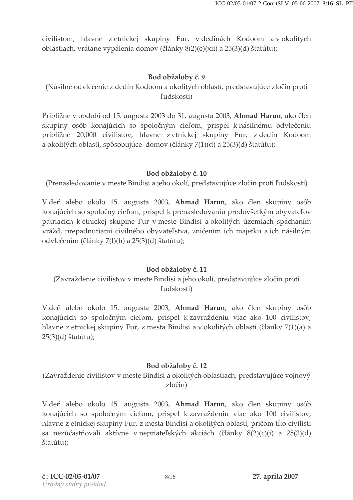civilistom, hlavne z etnickej skupiny Fur, v dedinách Kodoom a v okolitých oblastiach, vrátane vypálenia domov (články 8(2)(e)(xii) a 25(3)(d) štatútu);

### Bod obžaloby č. 9

## (Násilné odvlečenie z dedín Kodoom a okolitých oblastí, predstavujúce zločin proti ľudskosti)

Približne v období od 15. augusta 2003 do 31. augusta 2003, Ahmad Harun, ako člen skupiny osôb konajúcich so spoločným cieľom, prispel k násilnému odvlečeniu približne 20,000 civilistov, hlavne zetnickej skupiny Fur, zdedín Kodoom a okolitých oblastí, spôsobujúce domov (články 7(1)(d) a 25(3)(d) štatútu);

#### Bod obžaloby č. 10

(Prenasledovanie v meste Bindisi a jeho okolí, predstavujúce zločin proti ľudskosti)

V deň alebo okolo 15. augusta 2003, Ahmad Harun, ako člen skupiny osôb konajúcich so spoločný cieľom, prispel k prenasledovaniu predovšetkým obyvateľov patriacich k etnickej skupine Fur v meste Bindisi a okolitých územiach spáchaním vrážd, prepadnutiami civilného obyvateľstva, zničením ich majetku a ich násilným odvlečením (články 7(l)(h) a 25(3)(d) štatútu);

#### Bod obžaloby č. 11

(Zavraždenie civilistov v meste Bindisi a jeho okolí, predstavujúce zločin proti ľudskosti)

V deň alebo okolo 15. augusta 2003, Ahmad Harun, ako člen skupiny osôb konajúcich so spoločným cieľom, prispel k zavraždeniu viac ako 100 civilistov, hlavne z etnickej skupiny Fur, z mesta Bindisi a v okolitých oblastí (články 7(1)(a) a 25(3)(d) štatútu);

## Bod obžaloby č. 12

(Zavraždenie civilistov v meste Bindisi a okolitých oblastiach, predstavujúce vojnový zločin)

V deň alebo okolo 15. augusta 2003, Ahmad Harun, ako člen skupiny osôb konajúcich so spoločným cieľom, prispel k zavraždeniu viac ako 100 civilistov, hlavne z etnickej skupiny Fur, z mesta Bindisi a okolitých oblastí, pričom títo civilisti sa nezúčastňovali aktívne v nepriateľských akciách (články 8(2)(c)(i) a 25(3)(d) štatútu);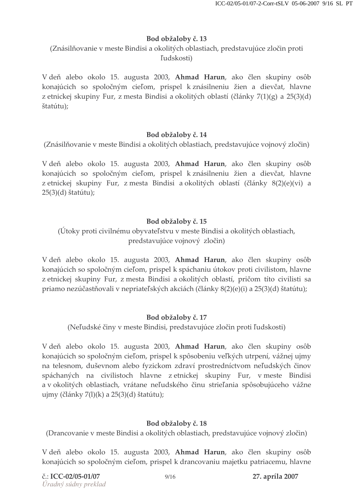### Bod obžaloby č. 13

(Znásilňovanie v meste Bindisi a okolitých oblastiach, predstavujúce zločin proti ľudskosti)

V deň alebo okolo 15. augusta 2003, Ahmad Harun, ako člen skupiny osôb konajúcich so spoločným cieľom, prispel k znásilneniu žien a dievčat, hlavne z etnickej skupiny Fur, z mesta Bindisi a okolitých oblastí (články 7(1)(g) a 25(3)(d) štatútu);

## Bod obžaloby č. 14

(Znásilňovanie v meste Bindisi a okolitých oblastiach, predstavujúce vojnový zločin)

V deň alebo okolo 15. augusta 2003, Ahmad Harun, ako člen skupiny osôb konajúcich so spoločným cieľom, prispel k znásilneniu žien a dievčat, hlavne z etnickej skupiny Fur, z mesta Bindisi a okolitých oblastí (články 8(2)(e)(vi) a 25(3)(d) štatútu);

## Bod obžaloby č. 15

# (Útoky proti civilnému obyvateľstvu v meste Bindisi a okolitých oblastiach, predstavujúce vojnový zločin)

V deň alebo okolo 15. augusta 2003, Ahmad Harun, ako člen skupiny osôb konajúcich so spoločným cieľom, prispel k spáchaniu útokov proti civilistom, hlavne z etnickej skupiny Fur, z mesta Bindisi a okolitých oblastí, pričom títo civilisti sa priamo nezúčastňovali v nepriateľských akciách (články 8(2)(e)(i) a 25(3)(d) štatútu);

#### Bod obžaloby č. 17

(Neľudské činy v meste Bindisi, predstavujúce zločin proti ľudskosti)

V deň alebo okolo 15. augusta 2003, Ahmad Harun, ako člen skupiny osôb konajúcich so spoločným cieľom, prispel k spôsobeniu veľkých utrpení, vážnej ujmy na telesnom, duševnom alebo fyzickom zdraví prostredníctvom neľudských činov spáchaných na civilistoch hlavne z etnickej skupiny Fur, v meste Bindisi a v okolitých oblastiach, vrátane neľudského činu strieľania spôsobujúceho vážne ujmy (články  $7(1)(k)$  a  $25(3)(d)$  štatútu);

#### Bod obžaloby č. 18

(Drancovanie v meste Bindisi a okolitých oblastiach, predstavujúce vojnový zločin)

V deň alebo okolo 15. augusta 2003, Ahmad Harun, ako člen skupiny osôb konajúcich so spoločným cieľom, prispel k drancovaniu majetku patriacemu, hlavne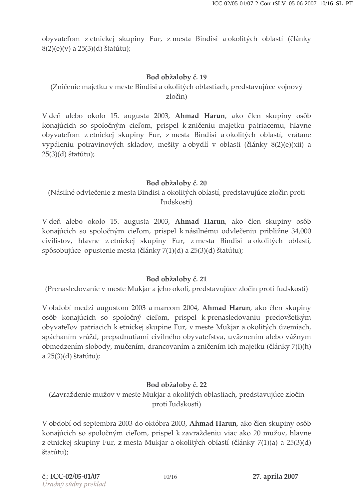obyvateľom z etnickej skupiny Fur, z mesta Bindisi a okolitých oblastí (články  $8(2)(e)(v)$  a 25(3)(d) štatútu);

#### Bod obžaloby č. 19

## (Zničenie majetku v meste Bindisi a okolitých oblastiach, predstavujúce vojnový zločin)

V deň alebo okolo 15. augusta 2003, Ahmad Harun, ako člen skupiny osôb konajúcich so spoločným cieľom, prispel k zničeniu majetku patriacemu, hlavne obyvateľom z etnickej skupiny Fur, z mesta Bindisi a okolitých oblastí, vrátane vypáleniu potravinových skladov, mešity a obydlí v oblasti (články 8(2)(e)(xii) a  $25(3)(d)$  štatútu);

#### Bod obžaloby č. 20

(Násilné odvlečenie z mesta Bindisi a okolitých oblastí, predstavujúce zločin proti ľudskosti)

V deň alebo okolo 15. augusta 2003, Ahmad Harun, ako člen skupiny osôb konajúcich so spoločným cieľom, prispel k násilnému odvlečeniu približne 34,000 civilistov, hlavne z etnickej skupiny Fur, z mesta Bindisi a okolitých oblastí, spôsobujúce opustenie mesta (články 7(1)(d) a 25(3)(d) štatútu);

#### Bod obžaloby č. 21

(Prenasledovanie v meste Mukjar a jeho okolí, predstavujúce zločin proti ľudskosti)

V období medzi augustom 2003 a marcom 2004, Ahmad Harun, ako člen skupiny osôb konajúcich so spoločný cieľom, prispel k prenasledovaniu predovšetkým obyvateľov patriacich k etnickej skupine Fur, v meste Mukjar a okolitých územiach, spáchaním vrážd, prepadnutiami civilného obyvateľstva, uväznením alebo vážnym obmedzením slobody, mučením, drancovaním a zničením ich majetku (články 7(l)(h)  $a 25(3)(d)$  štatútu);

#### Bod obžaloby č. 22

(Zavraždenie mužov v meste Mukjar a okolitých oblastiach, predstavujúce zločin proti ľudskosti)

V období od septembra 2003 do októbra 2003, Ahmad Harun, ako člen skupiny osôb konajúcich so spoločným cieľom, prispel k zavraždeniu viac ako 20 mužov, hlavne z etnickej skupiny Fur, z mesta Mukjar a okolitých oblastí (články 7(1)(a) a 25(3)(d) štatútu);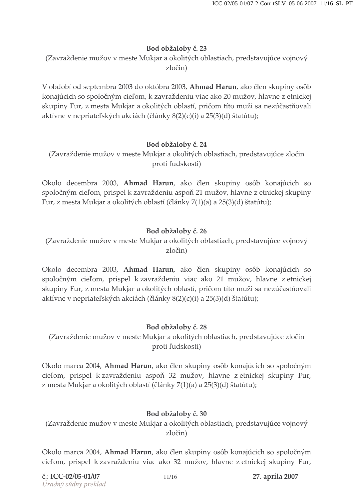## Bod obžaloby č. 23

(Zavraždenie mužov v meste Mukjar a okolitých oblastiach, predstavujúce vojnový zločin)

V období od septembra 2003 do októbra 2003, Ahmad Harun, ako člen skupiny osôb konajúcich so spoločným cieľom, k zavraždeniu viac ako 20 mužov, hlavne z etnickej skupiny Fur, z mesta Mukjar a okolitých oblastí, pričom títo muži sa nezúčastňovali aktívne v nepriateľských akciách (články 8(2)(c)(i) a 25(3)(d) štatútu);

## Bod obžaloby č. 24

(Zavraždenie mužov v meste Mukjar a okolitých oblastiach, predstavujúce zločin proti ľudskosti)

Okolo decembra 2003, Ahmad Harun, ako člen skupiny osôb konajúcich so spoločným cieľom, prispel k zavraždeniu aspoň 21 mužov, hlavne z etnickej skupiny Fur, z mesta Mukjar a okolitých oblastí (články 7(1)(a) a 25(3)(d) štatútu);

# Bod obžaloby č. 26

(Zavraždenie mužov v meste Mukjar a okolitých oblastiach, predstavujúce vojnový zločin)

Okolo decembra 2003, Ahmad Harun, ako člen skupiny osôb konajúcich so spoločným cieľom, prispel k zavraždeniu viac ako 21 mužov, hlavne z etnickej skupiny Fur, z mesta Mukjar a okolitých oblastí, pričom títo muži sa nezúčastňovali aktívne v nepriateľských akciách (články 8(2)(c)(i) a 25(3)(d) štatútu);

# Bod obžaloby č. 28

(Zavraždenie mužov v meste Mukjar a okolitých oblastiach, predstavujúce zločin proti ľudskosti)

Okolo marca 2004, Ahmad Harun, ako člen skupiny osôb konajúcich so spoločným cieľom, prispel k zavraždeniu aspoň 32 mužov, hlavne z etnickej skupiny Fur, z mesta Mukjar a okolitých oblastí (články 7(1)(a) a 25(3)(d) štatútu);

# Bod obžaloby č. 30

(Zavraždenie mužov v meste Mukjar a okolitých oblastiach, predstavujúce vojnový zločin)

Okolo marca 2004, Ahmad Harun, ako člen skupiny osôb konajúcich so spoločným cieľom, prispel k zavraždeniu viac ako 32 mužov, hlavne z etnickej skupiny Fur,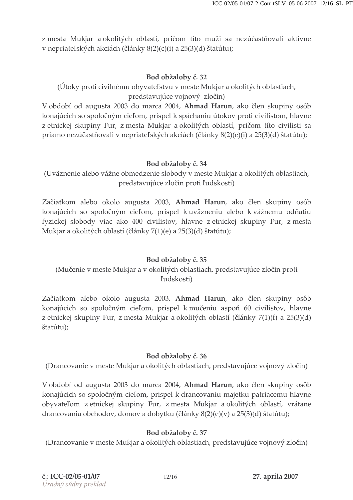z mesta Mukjar a okolitých oblastí, pričom títo muži sa nezúčastňovali aktívne v nepriateľských akciách (články 8(2)(c)(i) a 25(3)(d) štatútu);

### Bod obžaloby č. 32

(Útoky proti civilnému obyvateľstvu v meste Mukjar a okolitých oblastiach, predstavujúce vojnový zločin)

V období od augusta 2003 do marca 2004, Ahmad Harun, ako člen skupiny osôb konajúcich so spoločným cieľom, prispel k spáchaniu útokov proti civilistom, hlavne z etnickej skupiny Fur, z mesta Mukjar a okolitých oblastí, pričom títo civilisti sa priamo nezúčastňovali v nepriateľských akciách (články 8(2)(e)(i) a 25(3)(d) štatútu);

#### Bod obžaloby č. 34

(Uväznenie alebo vážne obmedzenie slobody v meste Mukjar a okolitých oblastiach, predstavujúce zločin proti ľudskosti)

Začiatkom alebo okolo augusta 2003, Ahmad Harun, ako člen skupiny osôb konajúcich so spoločným cieľom, prispel k uväzneniu alebo k vážnemu odňatiu fyzickej slobody viac ako 400 civilistov, hlavne z etnickej skupiny Fur, z mesta Mukjar a okolitých oblastí (články 7(1)(e) a 25(3)(d) štatútu);

## Bod obžaloby č. 35

(Mučenie v meste Mukjar a v okolitých oblastiach, predstavujúce zločin proti ľudskosti)

Začiatkom alebo okolo augusta 2003, Ahmad Harun, ako člen skupiny osôb konajúcich so spoločným cieľom, prispel k mučeniu aspoň 60 civilistov, hlavne z etnickej skupiny Fur, z mesta Mukjar a okolitých oblastí (články 7(1)(f) a 25(3)(d) štatútu);

#### Bod obžaloby č. 36

(Drancovanie v meste Mukjar a okolitých oblastiach, predstavujúce vojnový zločin)

V období od augusta 2003 do marca 2004, Ahmad Harun, ako člen skupiny osôb konajúcich so spoločným cieľom, prispel k drancovaniu majetku patriacemu hlavne obyvateľom z etnickej skupiny Fur, z mesta Mukjar a okolitých oblastí, vrátane drancovania obchodov, domov a dobytku (články 8(2)(e)(v) a 25(3)(d) štatútu);

## Bod obžaloby č. 37

(Drancovanie v meste Mukjar a okolitých oblastiach, predstavujúce vojnový zločin)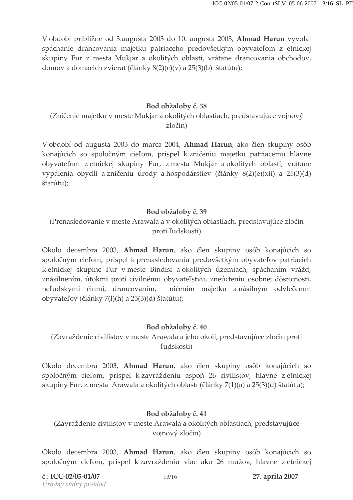V období približne od 3.augusta 2003 do 10. augusta 2003, Ahmad Harun vyvolal spáchanie drancovania majetku patriaceho predovšetkým obyvateľom z etnickej skupiny Fur z mesta Mukjar a okolitých oblastí, vrátane drancovania obchodov, domov a domácich zvierat (články 8(2)(c)(v) a 25(3)(b) štatútu);

#### Bod obžaloby č. 38

(Zničenie majetku v meste Mukjar a okolitých oblastiach, predstavujúce vojnový zločin)

V období od augusta 2003 do marca 2004, Ahmad Harun, ako člen skupiny osôb konajúcich so spoločným cieľom, prispel k zničeniu majetku patriacemu hlavne obyvateľom z etnickej skupiny Fur, z mesta Mukjar a okolitých oblastí, vrátane vypálenia obydlí a zničeniu úrody a hospodárstiev (články 8(2)(e)(xii) a 25(3)(d) štatútu);

#### Bod obžaloby č. 39

(Prenasledovanie v meste Arawala a v okolitých oblastiach, predstavujúce zločin proti ľudskosti)

Okolo decembra 2003, Ahmad Harun, ako člen skupiny osôb konajúcich so spoločným cieľom, prispel k prenasledovaniu predovšetkým obyvateľov patriacich k etnickej skupine Fur v meste Bindisi a okolitých územiach, spáchaním vrážd, znásilnením, útokmi proti civilnému obyvateľstvu, zneúcteniu osobnej dôstojnosti, neľudskými činmi, drancovaním, ničením majetku a násilným odvlečením obyvateľov (články 7(1)(h) a 25(3)(d) štatútu);

#### Bod obžaloby č. 40

## (Zavraždenie civilistov v meste Arawala a jeho okolí, predstavujúce zločin proti ľudskosti)

Okolo decembra 2003, Ahmad Harun, ako člen skupiny osôb konajúcich so spoločným cieľom, prispel k zavraždeniu aspoň 26 civilistov, hlavne z etnickej skupiny Fur, z mesta Arawala a okolitých oblastí (články 7(1)(a) a 25(3)(d) štatútu);

#### Bod obžaloby č. 41

(Zavraždenie civilistov v meste Arawala a okolitých oblastiach, predstavujúce vojnový zločin)

Okolo decembra 2003, Ahmad Harun, ako člen skupiny osôb konajúcich so spoločným cieľom, prispel k zavraždeniu viac ako 26 mužov, hlavne z etnickej

č.: ICC-02/05-01/07 Úradný súdny preklad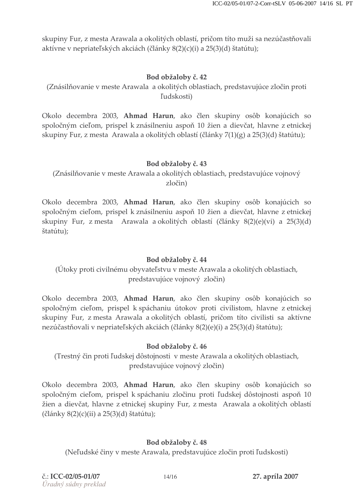skupiny Fur, z mesta Arawala a okolitých oblastí, pričom títo muži sa nezúčastňovali aktívne v nepriateľských akciách (články 8(2)(c)(i) a 25(3)(d) štatútu);

## Bod obžaloby č. 42

(Znásilňovanie v meste Arawala a okolitých oblastiach, predstavujúce zločin proti ľudskosti)

Okolo decembra 2003, Ahmad Harun, ako člen skupiny osôb konajúcich so spoločným cieľom, prispel k znásilneniu aspoň 10 žien a dievčat, hlavne z etnickej skupiny Fur, z mesta Arawala a okolitých oblastí (články 7(1)(g) a 25(3)(d) štatútu);

#### Bod obžaloby č. 43

(Znásilňovanie v meste Arawala a okolitých oblastiach, predstavujúce vojnový zločin)

Okolo decembra 2003, Ahmad Harun, ako člen skupiny osôb konajúcich so spoločným cieľom, prispel k znásilneniu aspoň 10 žien a dievčat, hlavne z etnickej skupiny Fur, z mesta Arawala a okolitých oblastí (články 8(2)(e)(vi) a 25(3)(d) štatútu):

#### Bod obžaloby č. 44

(Útoky proti civilnému obyvateľstvu v meste Arawala a okolitých oblastiach, predstavujúce vojnový zločin)

Okolo decembra 2003, Ahmad Harun, ako člen skupiny osôb konajúcich so spoločným cieľom, prispel k spáchaniu útokov proti civilistom, hlavne z etnickej skupiny Fur, z mesta Arawala a okolitých oblastí, pričom títo civilisti sa aktívne nezúčastňovali v nepriateľských akciách (články 8(2)(e)(i) a 25(3)(d) štatútu);

#### Bod obžaloby č. 46

(Trestný čin proti ľudskej dôstojnosti v meste Arawala a okolitých oblastiach, predstavujúce vojnový zločin)

Okolo decembra 2003, Ahmad Harun, ako člen skupiny osôb konajúcich so spoločným cieľom, prispel k spáchaniu zločinu proti ľudskej dôstojnosti aspoň 10 žien a dievčat, hlavne z etnickej skupiny Fur, z mesta Arawala a okolitých oblastí  $(\check{c}$ lánky 8(2)(c)(ii) a 25(3)(d) štatútu);

## Bod obžaloby č. 48

(Neľudské činy v meste Arawala, predstavujúce zločin proti ľudskosti)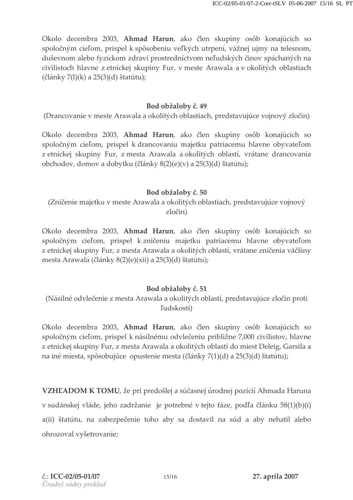Okolo decembra 2003, Ahmad Harun, ako člen skupiny osôb konajúcich so spoločným cieľom, prispel k spôsobeniu veľkých utrpení, vážnej ujmy na telesnom, duševnom alebo fyzickom zdraví prostredníctvom neľudských činov spáchaných na civilistoch hlavne z etnickej skupiny Fur, v meste Arawala a v okolitých oblastiach  $(\check{clánky} 7(l)(k) a 25(3)(d) štatútu);$ 

#### Bod obžaloby č. 49

(Drancovanie v meste Arawala a okolitých oblastiach, predstavujúce vojnový zločin)

Okolo decembra 2003, Ahmad Harun, ako člen skupiny osôb konajúcich so spoločným cieľom, prispel k drancovaniu majetku patriacemu hlavne obyvateľom z etnickej skupiny Fur, z mesta Arawala a okolitých oblastí, vrátane drancovania obchodov, domov a dobytku (články 8(2)(e)(v) a 25(3)(d) štatútu);

#### Bod obžaloby č. 50

(Zničenie majetku v meste Arawala a okolitých oblastiach, predstavujúce vojnový zločin)

Okolo decembra 2003, Ahmad Harun, ako člen skupiny osôb konajúcich so spoločným cieľom, prispel k zničeniu majetku patriacemu hlavne obyvateľom z etnickej skupiny Fur, z mesta Arawala a okolitých oblastí, vrátane zničenia väčšiny mesta Arawala (články 8(2)(e)(xii) a 25(3)(d) štatútu);

#### Bod obžaloby č. 51

(Násilné odvlečenie z mesta Arawala a okolitých oblastí, predstavujúce zločin proti ľudskosti)

Okolo decembra 2003, Ahmad Harun, ako člen skupiny osôb konajúcich so spoločným cieľom, prispel k násilnému odvlečeniu približne 7,000 civilistov, hlavne z etnickej skupiny Fur, z mesta Arawala a okolitých oblastí do miest Deleig, Garsila a na iné miesta, spôsobujúce opustenie mesta (články 7(1)(d) a 25(3)(d) štatútu);

VZHĽADOM K TOMU, že pri predošlej a súčasnej úrodnej pozícií Ahmada Haruna v sudánskej vláde, jeho zadržanie je potrebné v tejto fáze, podľa článku 58(1)(b)(i) a(ii) štatútu, na zabezpečenie toho aby sa dostavil na súd a aby nehatil alebo ohrozoval vyšetrovanie;